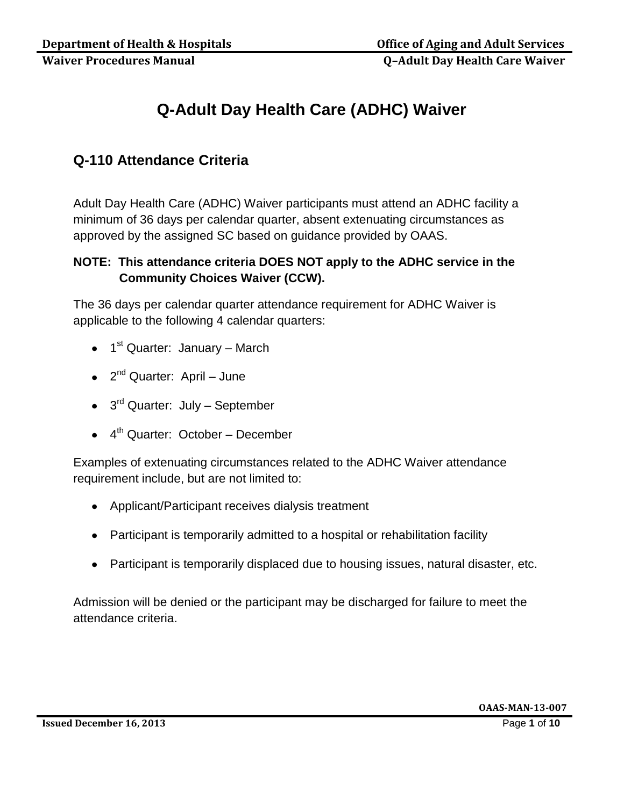# **Q-Adult Day Health Care (ADHC) Waiver**

# **Q-110 Attendance Criteria**

Adult Day Health Care (ADHC) Waiver participants must attend an ADHC facility a minimum of 36 days per calendar quarter, absent extenuating circumstances as approved by the assigned SC based on guidance provided by OAAS.

## **NOTE: This attendance criteria DOES NOT apply to the ADHC service in the Community Choices Waiver (CCW).**

The 36 days per calendar quarter attendance requirement for ADHC Waiver is applicable to the following 4 calendar quarters:

- 1<sup>st</sup> Quarter: January March
- 2<sup>nd</sup> Quarter: April June
- 3<sup>rd</sup> Quarter: July September
- 4<sup>th</sup> Quarter: October December

Examples of extenuating circumstances related to the ADHC Waiver attendance requirement include, but are not limited to:

- Applicant/Participant receives dialysis treatment
- Participant is temporarily admitted to a hospital or rehabilitation facility
- Participant is temporarily displaced due to housing issues, natural disaster, etc.

Admission will be denied or the participant may be discharged for failure to meet the attendance criteria.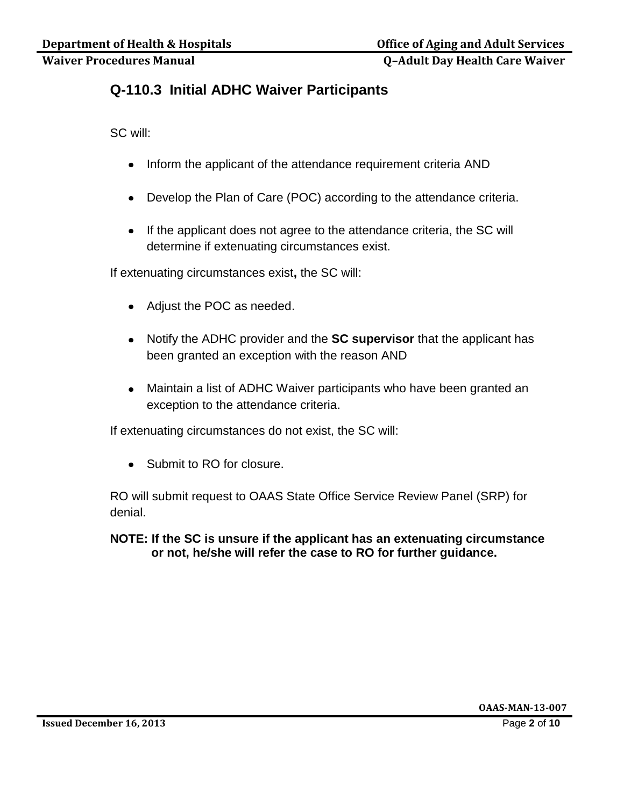## **Q-110.3 Initial ADHC Waiver Participants**

SC will:

- Inform the applicant of the attendance requirement criteria AND
- Develop the Plan of Care (POC) according to the attendance criteria.
- If the applicant does not agree to the attendance criteria, the SC will determine if extenuating circumstances exist.

If extenuating circumstances exist**,** the SC will:

- Adjust the POC as needed.
- Notify the ADHC provider and the **SC supervisor** that the applicant has been granted an exception with the reason AND
- Maintain a list of ADHC Waiver participants who have been granted an exception to the attendance criteria.

If extenuating circumstances do not exist, the SC will:

• Submit to RO for closure.

RO will submit request to OAAS State Office Service Review Panel (SRP) for denial.

**NOTE: If the SC is unsure if the applicant has an extenuating circumstance or not, he/she will refer the case to RO for further guidance.**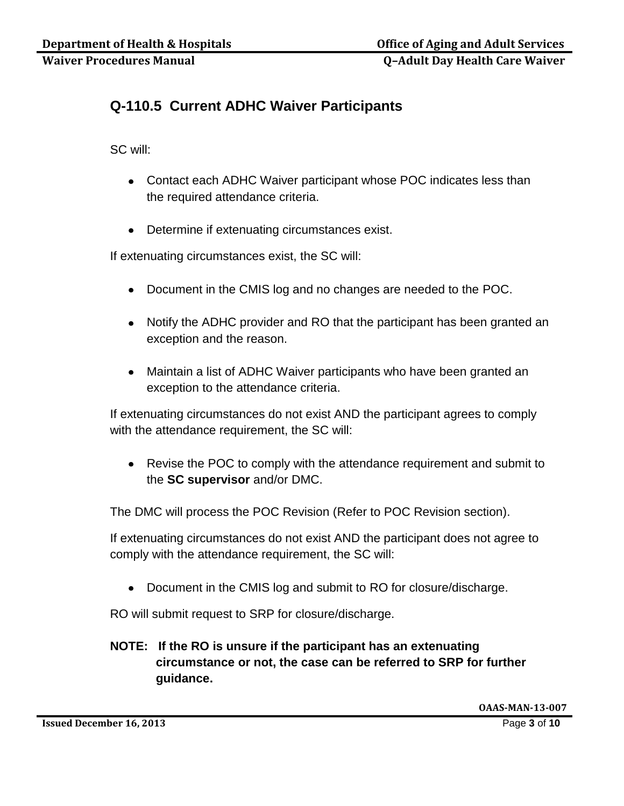# **Q-110.5 Current ADHC Waiver Participants**

SC will:

- Contact each ADHC Waiver participant whose POC indicates less than the required attendance criteria.
- Determine if extenuating circumstances exist.

If extenuating circumstances exist, the SC will:

- Document in the CMIS log and no changes are needed to the POC.
- Notify the ADHC provider and RO that the participant has been granted an exception and the reason.
- Maintain a list of ADHC Waiver participants who have been granted an exception to the attendance criteria.

If extenuating circumstances do not exist AND the participant agrees to comply with the attendance requirement, the SC will:

Revise the POC to comply with the attendance requirement and submit to the **SC supervisor** and/or DMC.

The DMC will process the POC Revision (Refer to POC Revision section).

If extenuating circumstances do not exist AND the participant does not agree to comply with the attendance requirement, the SC will:

Document in the CMIS log and submit to RO for closure/discharge.

RO will submit request to SRP for closure/discharge.

## **NOTE: If the RO is unsure if the participant has an extenuating circumstance or not, the case can be referred to SRP for further guidance.**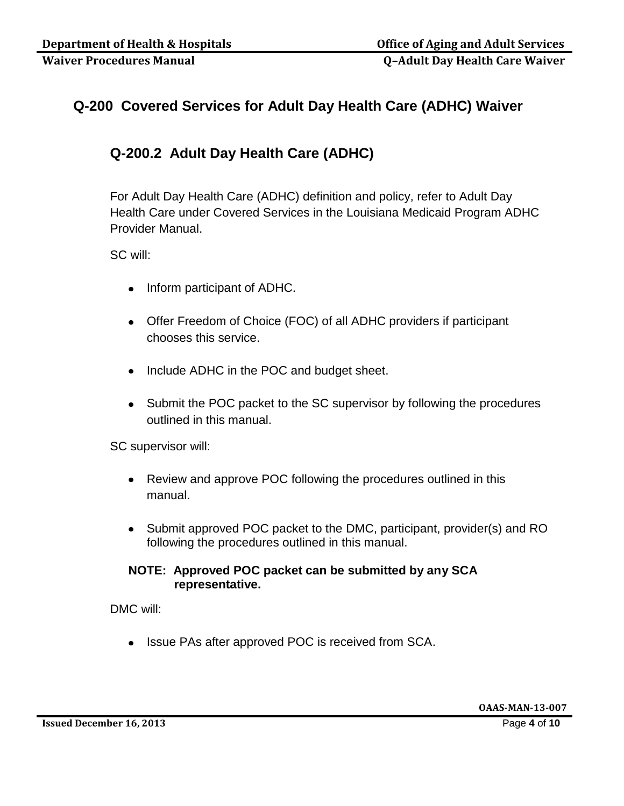# **Q-200 Covered Services for Adult Day Health Care (ADHC) Waiver**

# **Q-200.2 Adult Day Health Care (ADHC)**

For Adult Day Health Care (ADHC) definition and policy, refer to Adult Day Health Care under Covered Services in the Louisiana Medicaid Program ADHC Provider Manual.

SC will:

- Inform participant of ADHC.
- Offer Freedom of Choice (FOC) of all ADHC providers if participant chooses this service.
- Include ADHC in the POC and budget sheet.
- Submit the POC packet to the SC supervisor by following the procedures outlined in this manual.

SC supervisor will:

- Review and approve POC following the procedures outlined in this manual.
- Submit approved POC packet to the DMC, participant, provider(s) and RO following the procedures outlined in this manual.

#### **NOTE: Approved POC packet can be submitted by any SCA representative.**

DMC will:

• Issue PAs after approved POC is received from SCA.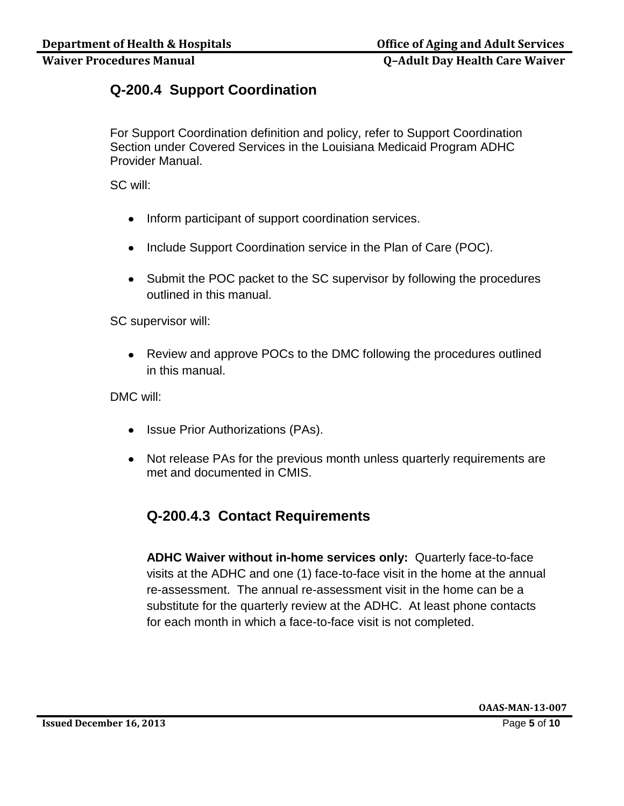# **Q-200.4 Support Coordination**

For Support Coordination definition and policy, refer to Support Coordination Section under Covered Services in the Louisiana Medicaid Program ADHC Provider Manual.

SC will:

- Inform participant of support coordination services.
- Include Support Coordination service in the Plan of Care (POC).
- Submit the POC packet to the SC supervisor by following the procedures outlined in this manual.

SC supervisor will:

Review and approve POCs to the DMC following the procedures outlined in this manual.

DMC will:

- Issue Prior Authorizations (PAs).
- Not release PAs for the previous month unless quarterly requirements are met and documented in CMIS.

# **Q-200.4.3 Contact Requirements**

**ADHC Waiver without in-home services only:** Quarterly face-to-face visits at the ADHC and one (1) face-to-face visit in the home at the annual re-assessment. The annual re-assessment visit in the home can be a substitute for the quarterly review at the ADHC. At least phone contacts for each month in which a face-to-face visit is not completed.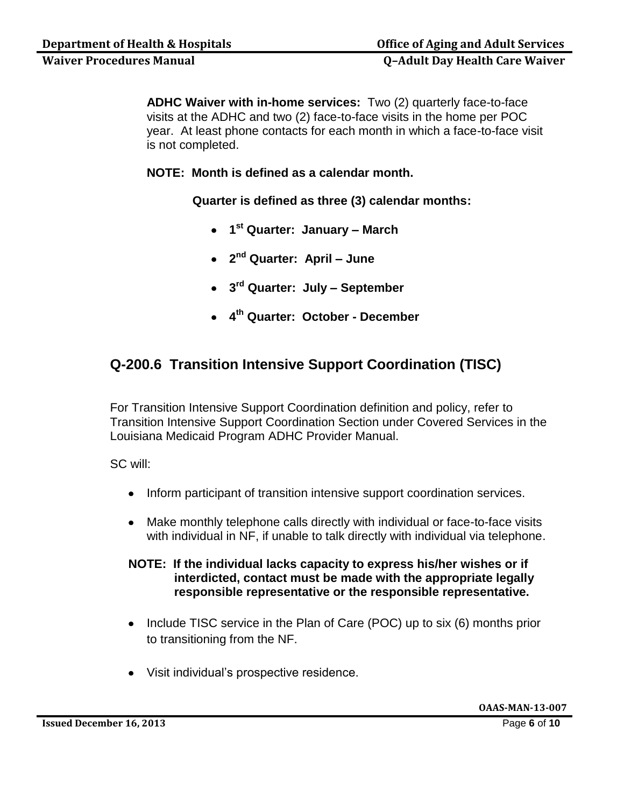**ADHC Waiver with in-home services:** Two (2) quarterly face-to-face visits at the ADHC and two (2) face-to-face visits in the home per POC year. At least phone contacts for each month in which a face-to-face visit is not completed.

**NOTE: Month is defined as a calendar month.**

**Quarter is defined as three (3) calendar months:**

- **1 st Quarter: January – March**
- **2 nd Quarter: April – June**
- **3 rd Quarter: July – September**
- **4 th Quarter: October - December**

# **Q-200.6 Transition Intensive Support Coordination (TISC)**

For Transition Intensive Support Coordination definition and policy, refer to Transition Intensive Support Coordination Section under Covered Services in the Louisiana Medicaid Program ADHC Provider Manual.

SC will:

- Inform participant of transition intensive support coordination services.
- Make monthly telephone calls directly with individual or face-to-face visits with individual in NF, if unable to talk directly with individual via telephone.

## **NOTE: If the individual lacks capacity to express his/her wishes or if interdicted, contact must be made with the appropriate legally responsible representative or the responsible representative.**

- Include TISC service in the Plan of Care (POC) up to six (6) months prior to transitioning from the NF.
- Visit individual's prospective residence.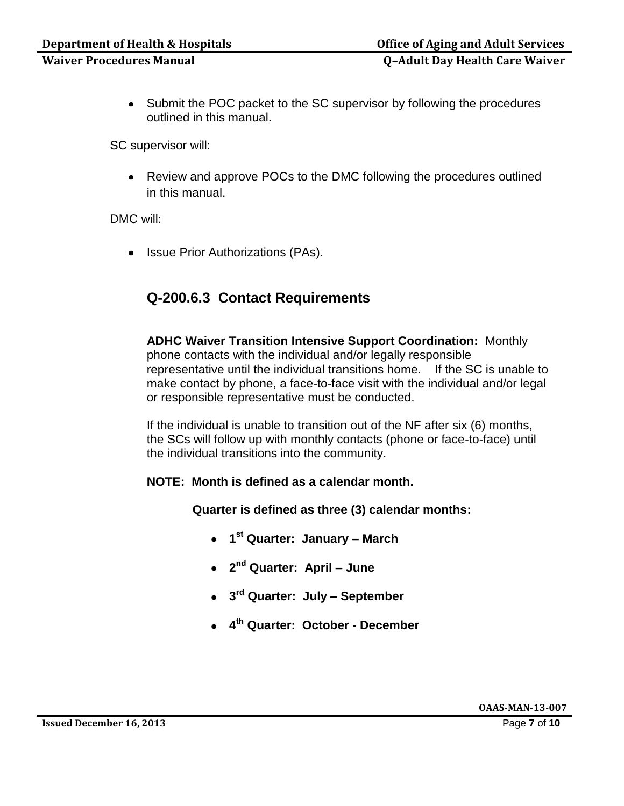• Submit the POC packet to the SC supervisor by following the procedures outlined in this manual.

SC supervisor will:

Review and approve POCs to the DMC following the procedures outlined in this manual.

DMC will:

• Issue Prior Authorizations (PAs).

# **Q-200.6.3 Contact Requirements**

**ADHC Waiver Transition Intensive Support Coordination:** Monthly phone contacts with the individual and/or legally responsible representative until the individual transitions home. If the SC is unable to make contact by phone, a face-to-face visit with the individual and/or legal or responsible representative must be conducted.

If the individual is unable to transition out of the NF after six (6) months, the SCs will follow up with monthly contacts (phone or face-to-face) until the individual transitions into the community.

#### **NOTE: Month is defined as a calendar month.**

**Quarter is defined as three (3) calendar months:**

- **1 st Quarter: January – March**
- **2 nd Quarter: April – June**
- **3 rd Quarter: July – September**
- **4 th Quarter: October - December**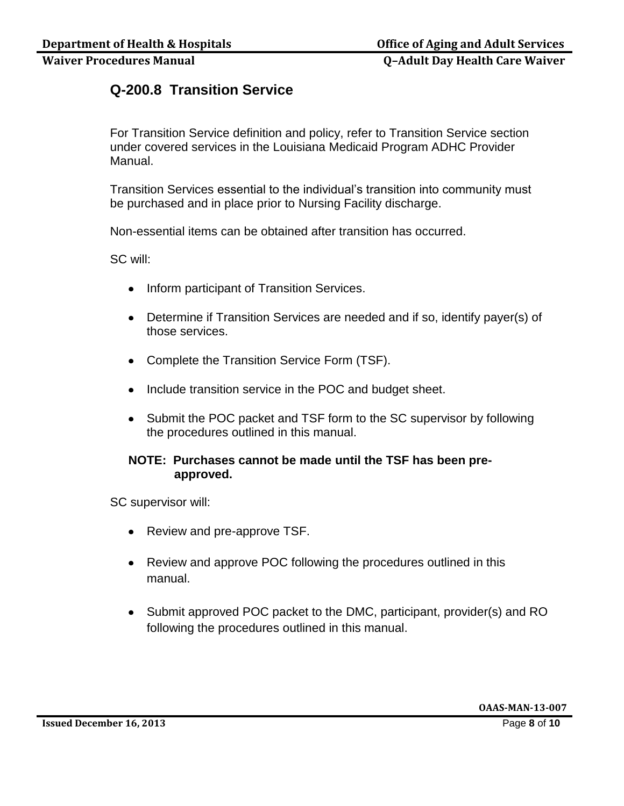# **Q-200.8 Transition Service**

For Transition Service definition and policy, refer to Transition Service section under covered services in the Louisiana Medicaid Program ADHC Provider Manual.

Transition Services essential to the individual's transition into community must be purchased and in place prior to Nursing Facility discharge.

Non-essential items can be obtained after transition has occurred.

SC will:

- Inform participant of Transition Services.
- Determine if Transition Services are needed and if so, identify payer(s) of those services.
- Complete the Transition Service Form (TSF).
- Include transition service in the POC and budget sheet.
- Submit the POC packet and TSF form to the SC supervisor by following the procedures outlined in this manual.

#### **NOTE: Purchases cannot be made until the TSF has been preapproved.**

SC supervisor will:

- Review and pre-approve TSF.
- Review and approve POC following the procedures outlined in this manual.
- Submit approved POC packet to the DMC, participant, provider(s) and RO following the procedures outlined in this manual.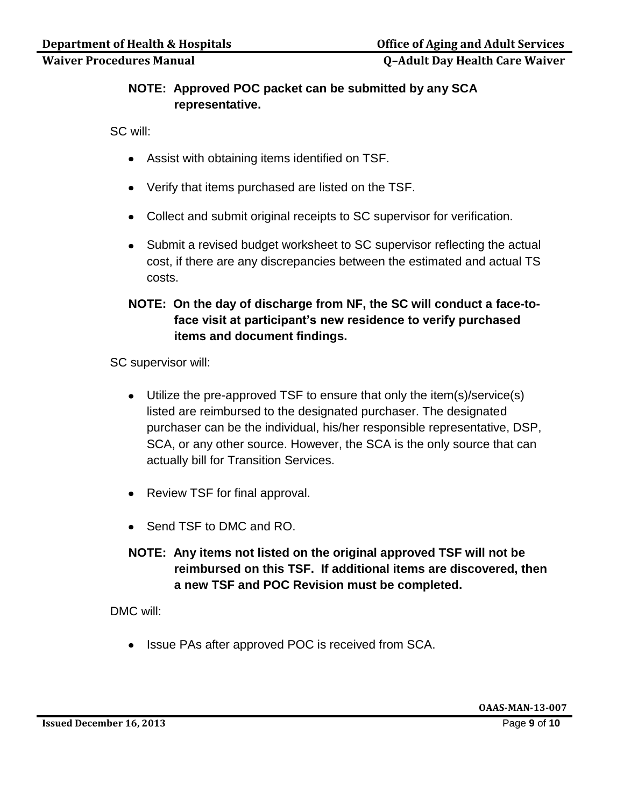## **NOTE: Approved POC packet can be submitted by any SCA representative.**

SC will:

- Assist with obtaining items identified on TSF.
- Verify that items purchased are listed on the TSF.
- Collect and submit original receipts to SC supervisor for verification.
- Submit a revised budget worksheet to SC supervisor reflecting the actual cost, if there are any discrepancies between the estimated and actual TS costs.

## **NOTE: On the day of discharge from NF, the SC will conduct a face-toface visit at participant's new residence to verify purchased items and document findings.**

SC supervisor will:

- Utilize the pre-approved TSF to ensure that only the item(s)/service(s) listed are reimbursed to the designated purchaser. The designated purchaser can be the individual, his/her responsible representative, DSP, SCA, or any other source. However, the SCA is the only source that can actually bill for Transition Services.
- Review TSF for final approval.
- Send TSF to DMC and RO.
- **NOTE: Any items not listed on the original approved TSF will not be reimbursed on this TSF. If additional items are discovered, then a new TSF and POC Revision must be completed.**

DMC will:

• Issue PAs after approved POC is received from SCA.